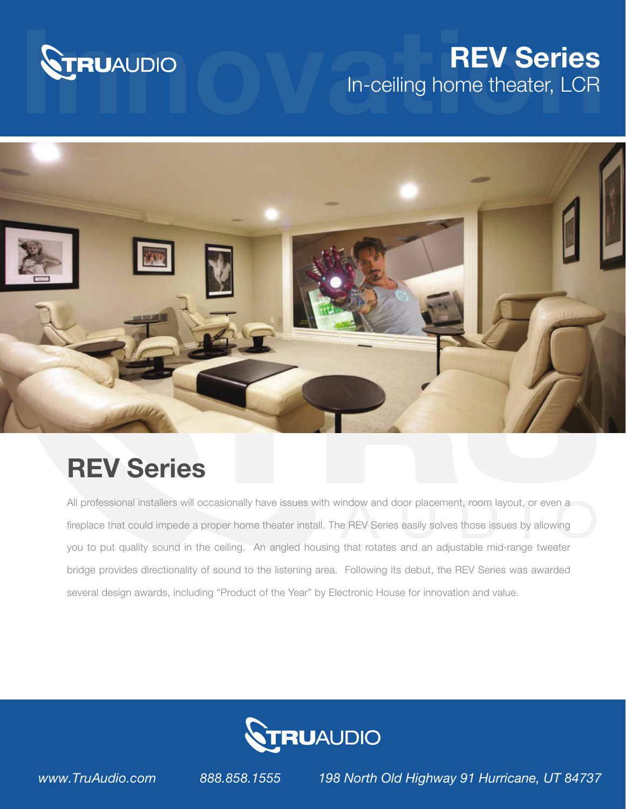

## **STRUAUDIO In-ceiling home theater, LCR** In-ceiling home theater, LCR



## REV Series

All professional installers will occasionally have issues with window and door placement, room layout, or even a fireplace that could impede a proper home theater install. The REV Series easily solves those issues by allowing you to put quality sound in the ceiling. An angled housing that rotates and an adjustable mid-range tweeter bridge provides directionality of sound to the listening area. Following its debut, the REV Series was awarded several design awards, including "Product of the Year" by Electronic House for innovation and value.



*www.TruAudio.com 888.858.1555 198 North Old Highway 91 Hurricane, UT 84737*